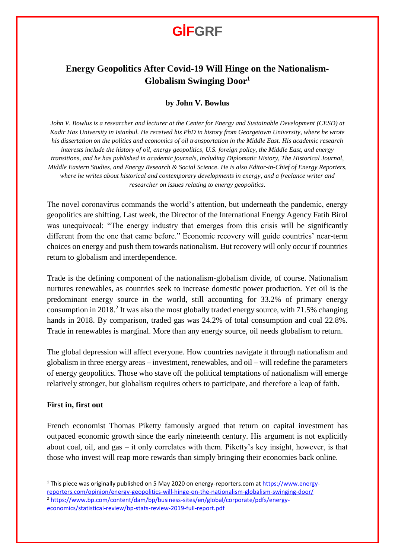## **GİFGRF**

### **Energy Geopolitics After Covid-19 Will Hinge on the Nationalism-Globalism Swinging Door<sup>1</sup>**

#### **by John V. Bowlus**

*John V. Bowlus is a researcher and lecturer at the Center for Energy and Sustainable Development (CESD) at Kadir Has University in Istanbul. He received his PhD in history from Georgetown University, where he wrote his dissertation on the politics and economics of oil transportation in the Middle East. His academic research interests include the history of oil, energy geopolitics, U.S. foreign policy, the Middle East, and energy transitions, and he has published in academic journals, including Diplomatic History, The Historical Journal, Middle Eastern Studies, and Energy Research & Social Science. He is also Editor-in-Chief of Energy Reporters, where he writes about historical and contemporary developments in energy, and a freelance writer and researcher on issues relating to energy geopolitics.*

The novel coronavirus commands the world's attention, but underneath the pandemic, energy geopolitics are shifting. Last week, the Director of the International Energy Agency Fatih Birol was unequivocal: "The energy industry that emerges from this crisis will be significantly different from the one that came before." Economic recovery will guide countries' near-term choices on energy and push them towards nationalism. But recovery will only occur if countries return to globalism and interdependence.

Trade is the defining component of the nationalism-globalism divide, of course. Nationalism nurtures renewables, as countries seek to increase domestic power production. Yet oil is the predominant energy source in the world, still accounting for 33.2% of primary energy consumption in 2018.<sup>2</sup> It was also the most globally traded energy source, with 71.5% changing hands in 2018. By comparison, traded gas was 24.2% of total consumption and coal 22.8%. Trade in renewables is marginal. More than any energy source, oil needs globalism to return.

The global depression will affect everyone. How countries navigate it through nationalism and globalism in three energy areas – investment, renewables, and oil – will redefine the parameters of energy geopolitics. Those who stave off the political temptations of nationalism will emerge relatively stronger, but globalism requires others to participate, and therefore a leap of faith.

#### **First in, first out**

French economist Thomas Piketty famously argued that return on capital investment has outpaced economic growth since the early nineteenth century. His argument is not explicitly about coal, oil, and gas – it only correlates with them. Piketty's key insight, however, is that those who invest will reap more rewards than simply bringing their economies back online.

 $\overline{a}$ 

<sup>1</sup> This piece was originally published on 5 May 2020 on energy-reporters.com at [https://www.energy](https://www.energy-reporters.com/opinion/energy-geopolitics-will-hinge-on-the-nationalism-globalism-swinging-door/)[reporters.com/opinion/energy-geopolitics-will-hinge-on-the-nationalism-globalism-swinging-door/](https://www.energy-reporters.com/opinion/energy-geopolitics-will-hinge-on-the-nationalism-globalism-swinging-door/) <sup>2</sup> [https://www.bp.com/content/dam/bp/business-sites/en/global/corporate/pdfs/energy](https://www.bp.com/content/dam/bp/business-sites/en/global/corporate/pdfs/energy-economics/statistical-review/bp-stats-review-2019-full-report.pdf)[economics/statistical-review/bp-stats-review-2019-full-report.pdf](https://www.bp.com/content/dam/bp/business-sites/en/global/corporate/pdfs/energy-economics/statistical-review/bp-stats-review-2019-full-report.pdf)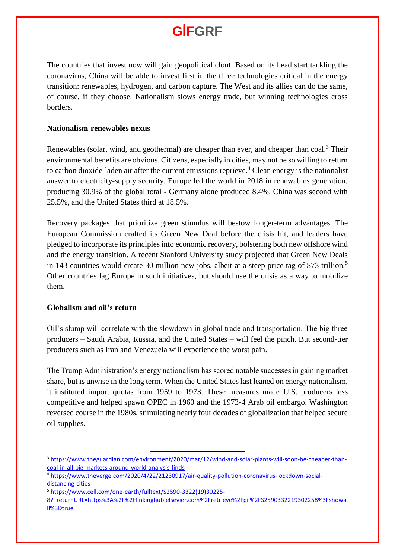# **GİFGRF**

The countries that invest now will gain geopolitical clout. Based on its head start tackling the coronavirus, China will be able to invest first in the three technologies critical in the energy transition: renewables, hydrogen, and carbon capture. The West and its allies can do the same, of course, if they choose. Nationalism slows energy trade, but winning technologies cross borders.

#### **Nationalism-renewables nexus**

Renewables (solar, wind, and geothermal) are cheaper than ever, and cheaper than coal.<sup>3</sup> Their environmental benefits are obvious. Citizens, especially in cities, may not be so willing to return to carbon dioxide-laden air after the current emissions reprieve.<sup>4</sup> Clean energy is the nationalist answer to electricity-supply security. Europe led the world in 2018 in renewables generation, producing 30.9% of the global total - Germany alone produced 8.4%. China was second with 25.5%, and the United States third at 18.5%.

Recovery packages that prioritize green stimulus will bestow longer-term advantages. The European Commission crafted its Green New Deal before the crisis hit, and leaders have pledged to incorporate its principles into economic recovery, bolstering both new offshore wind and the energy transition. A recent Stanford University study projected that Green New Deals in 143 countries would create 30 million new jobs, albeit at a steep price tag of \$73 trillion.<sup>5</sup> Other countries lag Europe in such initiatives, but should use the crisis as a way to mobilize them.

### **Globalism and oil's return**

Oil's slump will correlate with the slowdown in global trade and transportation. The big three producers – Saudi Arabia, Russia, and the United States – will feel the pinch. But second-tier producers such as Iran and Venezuela will experience the worst pain.

The Trump Administration's energy nationalism has scored notable successes in gaining market share, but is unwise in the long term. When the United States last leaned on energy nationalism, it instituted import quotas from 1959 to 1973. These measures made U.S. producers less competitive and helped spawn OPEC in 1960 and the 1973-4 Arab oil embargo. Washington reversed course in the 1980s, stimulating nearly four decades of globalization that helped secure oil supplies.

 $\overline{a}$ 

<sup>3</sup> [https://www.theguardian.com/environment/2020/mar/12/wind-and-solar-plants-will-soon-be-cheaper-than](https://www.theguardian.com/environment/2020/mar/12/wind-and-solar-plants-will-soon-be-cheaper-than-coal-in-all-big-markets-around-world-analysis-finds)[coal-in-all-big-markets-around-world-analysis-finds](https://www.theguardian.com/environment/2020/mar/12/wind-and-solar-plants-will-soon-be-cheaper-than-coal-in-all-big-markets-around-world-analysis-finds)

<sup>4</sup> [https://www.theverge.com/2020/4/22/21230917/air-quality-pollution-coronavirus-lockdown-social](https://www.theverge.com/2020/4/22/21230917/air-quality-pollution-coronavirus-lockdown-social-distancing-cities)[distancing-cities](https://www.theverge.com/2020/4/22/21230917/air-quality-pollution-coronavirus-lockdown-social-distancing-cities)

<sup>5</sup> [https://www.cell.com/one-earth/fulltext/S2590-3322\(19\)30225-](https://www.cell.com/one-earth/fulltext/S2590-3322(19)30225-8?_returnURL=https%3A%2F%2Flinkinghub.elsevier.com%2Fretrieve%2Fpii%2FS2590332219302258%3Fshowall%3Dtrue)

[<sup>8?</sup>\\_returnURL=https%3A%2F%2Flinkinghub.elsevier.com%2Fretrieve%2Fpii%2FS2590332219302258%3Fshowa](https://www.cell.com/one-earth/fulltext/S2590-3322(19)30225-8?_returnURL=https%3A%2F%2Flinkinghub.elsevier.com%2Fretrieve%2Fpii%2FS2590332219302258%3Fshowall%3Dtrue) [ll%3Dtrue](https://www.cell.com/one-earth/fulltext/S2590-3322(19)30225-8?_returnURL=https%3A%2F%2Flinkinghub.elsevier.com%2Fretrieve%2Fpii%2FS2590332219302258%3Fshowall%3Dtrue)